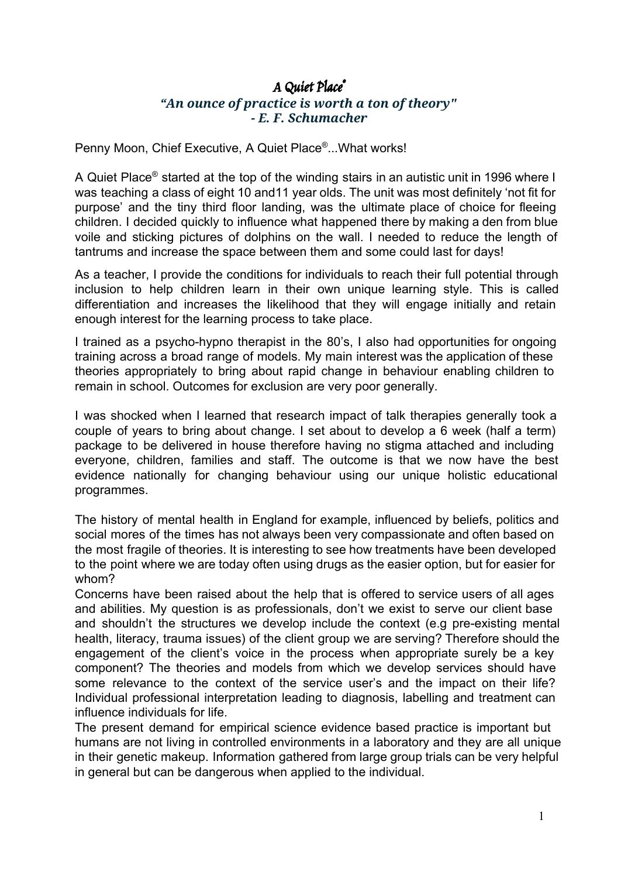# A Quiet Place ® *"An ounce of practice is worth a ton of theory" - E. F. Schumacher*

Penny Moon, Chief Executive, A Quiet Place<sup>®</sup>...What works!

A Quiet Place® started at the top of the winding stairs in an autistic unit in 1996 where I was teaching a class of eight 10 and11 year olds. The unit was most definitely 'not fit for purpose' and the tiny third floor landing, was the ultimate place of choice for fleeing children. I decided quickly to influence what happened there by making a den from blue voile and sticking pictures of dolphins on the wall. I needed to reduce the length of tantrums and increase the space between them and some could last for days!

As a teacher, I provide the conditions for individuals to reach their full potential through inclusion to help children learn in their own unique learning style. This is called differentiation and increases the likelihood that they will engage initially and retain enough interest for the learning process to take place.

I trained as a psycho-hypno therapist in the 80's, I also had opportunities for ongoing training across a broad range of models. My main interest was the application of these theories appropriately to bring about rapid change in behaviour enabling children to remain in school. Outcomes for exclusion are very poor generally.

I was shocked when I learned that research impact of talk therapies generally took a couple of years to bring about change. I set about to develop a 6 week (half a term) package to be delivered in house therefore having no stigma attached and including everyone, children, families and staff. The outcome is that we now have the best evidence nationally for changing behaviour using our unique holistic educational programmes.

The history of mental health in England for example, influenced by beliefs, politics and social mores of the times has not always been very compassionate and often based on the most fragile of theories. It is interesting to see how treatments have been developed to the point where we are today often using drugs as the easier option, but for easier for whom?

Concerns have been raised about the help that is offered to service users of all ages and abilities. My question is as professionals, don't we exist to serve our client base and shouldn't the structures we develop include the context (e.g pre-existing mental health, literacy, trauma issues) of the client group we are serving? Therefore should the engagement of the client's voice in the process when appropriate surely be a key component? The theories and models from which we develop services should have some relevance to the context of the service user's and the impact on their life? Individual professional interpretation leading to diagnosis, labelling and treatment can influence individuals for life.

The present demand for empirical science evidence based practice is important but humans are not living in controlled environments in a laboratory and they are all unique in their genetic makeup. Information gathered from large group trials can be very helpful in general but can be dangerous when applied to the individual.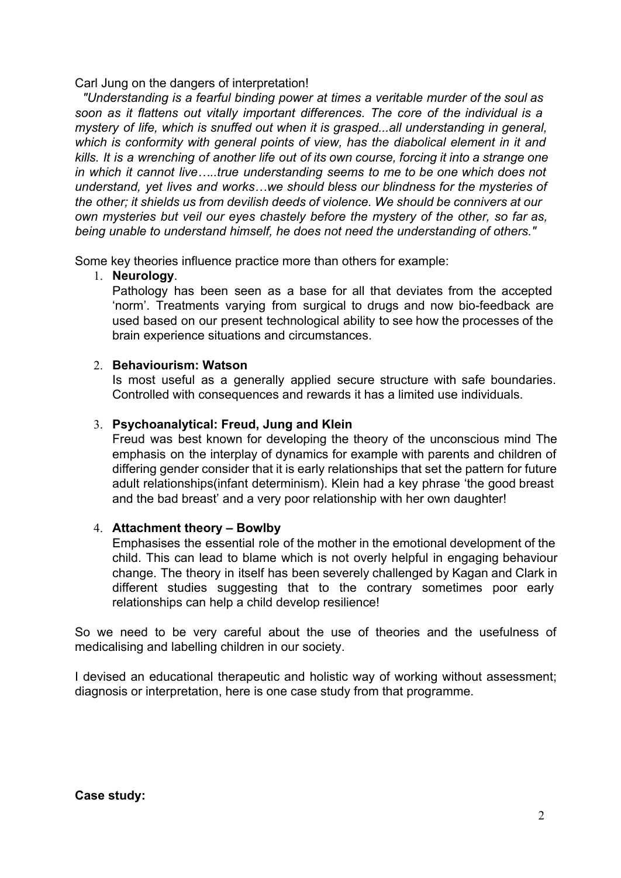Carl Jung on the dangers of interpretation!

*"Understanding is a fearful binding power at times a veritable murder of the soul as soon as it flattens out vitally important differences. The core of the individual is a mystery of life, which is snuffed out when it is grasped...all understanding in general, which is conformity with general points of view, has the diabolical element in it and* kills. It is a wrenching of another life out of its own course, forcing it into a strange one *in which it cannot live…..true understanding seems to me to be one which does not understand, yet lives and works…we should bless our blindness for the mysteries of the other; it shields us from devilish deeds of violence. We should be connivers at our own mysteries but veil our eyes chastely before the mystery of the other, so far as, being unable to understand himself, he does not need the understanding of others."*

Some key theories influence practice more than others for example:

### 1. **Neurology**.

Pathology has been seen as a base for all that deviates from the accepted 'norm'. Treatments varying from surgical to drugs and now bio-feedback are used based on our present technological ability to see how the processes of the brain experience situations and circumstances.

### 2. **Behaviourism: Watson**

Is most useful as a generally applied secure structure with safe boundaries. Controlled with consequences and rewards it has a limited use individuals.

## 3. **Psychoanalytical: Freud, Jung and Klein**

Freud was best known for developing the theory of the unconscious mind The emphasis on the interplay of dynamics for example with parents and children of differing gender consider that it is early relationships that set the pattern for future adult relationships(infant determinism). Klein had a key phrase 'the good breast and the bad breast' and a very poor relationship with her own daughter!

## 4. **Attachment theory – Bowlby**

Emphasises the essential role of the mother in the emotional development of the child. This can lead to blame which is not overly helpful in engaging behaviour change. The theory in itself has been severely challenged by Kagan and Clark in different studies suggesting that to the contrary sometimes poor early relationships can help a child develop resilience!

So we need to be very careful about the use of theories and the usefulness of medicalising and labelling children in our society.

I devised an educational therapeutic and holistic way of working without assessment; diagnosis or interpretation, here is one case study from that programme.